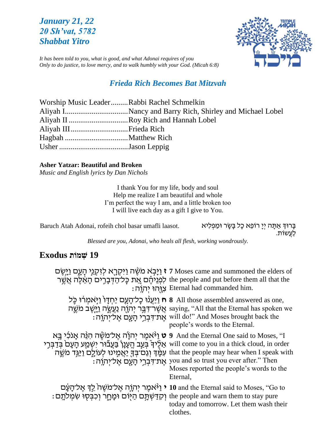# *January 21, 22 20 Sh'vat, 5782 Shabbat Yitro*



*It has been told to you, what is good, and what Adonai requires of you Only to do justice, to love mercy, and to walk humbly with your God. (Micah 6:8)*

# *Frieda Rich Becomes Bat Mitzvah*

| Worship Music LeaderRabbi Rachel Schmelkin |
|--------------------------------------------|
|                                            |
| Aliyah II Roy Rich and Hannah Lobel        |
|                                            |
|                                            |
|                                            |

### **Asher Yatzar: Beautiful and Broken**

*Music and English lyrics by Dan Nichols*

I thank You for my life, body and soul Help me realize I am beautiful and whole I'm perfect the way I am, and a little broken too I will live each day as a gift I give to You.

Eרוּךְ אַתָּה יְיָ רוֹפֵא כָל בָּשָׂר וּמַפְלִיא .<br>בְּרוּךְ אַתָּה יְיָ רוֹפֵא כָל בָּשָׂר וּמַפְלִיא לַעֲשֹות.

*Blessed are you, Adonai, who heals all flesh, working wondrously.*

# **19 שְׁ מֹות Exodus**

|                                                                                                           | ז יַיְּבְא מֹשֶׁה וַיִּקְרֶא לְזִקְנֵי הָעֱם וַיְּשֶׂם 7 Moses came and summoned the elders of<br>the people and put before them all that the לְפְנֵיהֵם אֶת כָּל־הַדְּבָרִים הָאֵצֶה אֲשֵׁר<br>: אֲוָהוּ יִתְוָה Eternal had commanded him.                                                                                                      |
|-----------------------------------------------------------------------------------------------------------|---------------------------------------------------------------------------------------------------------------------------------------------------------------------------------------------------------------------------------------------------------------------------------------------------------------------------------------------------|
|                                                                                                           | ח וַיַּעֲנוּ כָל־הָעֲם יַחִדָּוֹ וַיְאמִרֹוּ כֶּל all those assembled answered as one,<br>אַטְרֹדְּבֵר יִתְוֶת נַעֲשֶׂה וַיָּשֶׁב מֹשֶׁה saying, "All that the Eternal has spoken we<br>את דְּבְרֵי הַעֲם אֱלֹיִהְוָה: will do!" And Moses brought back the<br>people's words to the Eternal.                                                     |
| אָלֶּיךָ בְּעֲב הֵעָנָן בַּעֲבٞוֹר יִשְׁמַע הָעָם בְּדַבְּרִי will come to you in a thick cloud, in order | 9 And the Eternal One said to Moses, "I ו <sup>ַאָ</sup> אמֵר יִהוָּ֫ה אֲל־מֹשֶׁה הִנֵּ֫ה אָנֹכִי בָּא<br>that the people may hear when I speak with עִמְּׂדְ וְגַם־בְּךָ יַאֲמִינוּ לְעוֹלֶם וַיַּגְּד מֹשֵׁה<br>: אַת־דְּבְרֵי הָעֲם אֱל־יִהְוֶה you and so trust you ever after." Then<br>Moses reported the people's words to the<br>Eternal, |
| the people and warn them to stay pure וְקִדַּשְׁתָּם הַיָּוֹם וּמָחֶר וְכִבְּסְוּ שִׂמְלֹתָם:             | י יאָל־מֹשֶׁהֹ לֵדְ אֶל־הָעָם 10 and the Eternal said to Moses, ''Go to<br>today and tomorrow. Let them wash their<br>clothes.                                                                                                                                                                                                                    |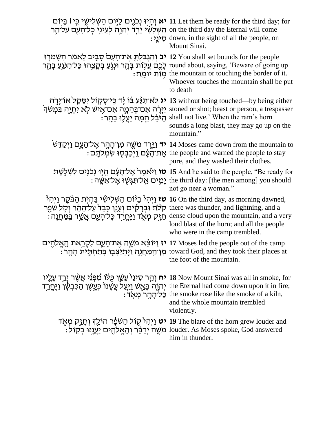| on the third day the Eternal will come הַשְּׁלְשִׁי יָרְדָ יִהְוֶה לְעֵינֵי כָל־הָעָם עַל־הַר                                                                                                                                 | ית וְחָיָוּ נְכֹוֵים לַיּוֹם הַשְׁלִישֵׁי בְּיוֹ 11 Let them be ready for the third day; for<br>e down, in the sight of all the people, on<br>Mount Sinai.                                                                                                                                                                              |
|-------------------------------------------------------------------------------------------------------------------------------------------------------------------------------------------------------------------------------|-----------------------------------------------------------------------------------------------------------------------------------------------------------------------------------------------------------------------------------------------------------------------------------------------------------------------------------------|
| יב יְהִגְבַּלְתָּ אֶת־הָעָם סָבִיב לֵאמֹר הִשָּׁמִרְוּ 12 You shall set bounds for the people<br>round about, saying, 'Beware of going up לָכֶם עֲלָוֹת בָּהֶר וּנְגְעַ בְּקָצֶהוּ כָּל־הַנֹּגְעַ בָּהֶר                      | : מות יומת the mountain or touching the border of it.<br>Whoever touches the mountain shall be put<br>to death                                                                                                                                                                                                                          |
|                                                                                                                                                                                                                               | יגְרָה 13 without being touched—by being either אוֹיַיָּרְה 13 vithout being touched—by being either<br>יְיָרָה אִם־בְּהֵמֶה אִם־אָישׁ לְא יִחְיֶה בִּמְשֹׁךְ stoned or shot; beast or person, a trespasser<br>: הַמָּה יַעֲלִוּ בָהֶר shall not live.' When the ram's horn<br>sounds a long blast, they may go up on the<br>mountain." |
|                                                                                                                                                                                                                               | י <del>ר</del> וַיֵּרֶד מֹשֶׁה מִן־הָהָר אֶל־הָעֶם וַיְקַדִּשׁ 14 Moses came down from the mountain to<br>: אֶת־הָעָם וַיְכַבְּסְוּ שִׂמְלֹתֶם the people and warned the people to stay<br>pure, and they washed their clothes.                                                                                                         |
|                                                                                                                                                                                                                               | יאָל־הָעָם הֱיָוּ נְכֹגִים לִשְׁלְשֵׁת 15 And he said to the people, ''Be ready for<br>: יָמֶים אֲל־תְּגִשְׁוּ אֵל־אִשֶּׁה the third day: [the men among] you should<br>not go near a woman."                                                                                                                                           |
| יְרָה <sup>ֶר</sup> בַ <sup>גָּ</sup> וֹם הַשָּׁלִישָׁי בְּהִיָּת הַבַּּקֵר וַיִּהְי<br>קלת וּבְרָקוּם וְעָנֶן כָּבֵד <sup>י</sup> עַל־הָהָר וִקְל שִׁפֵר there was thunder, and lightning, and a                             | ense cloud upon the mountain, and a very תְזֶק מְאֶד וַיֶּחֱרָד כָּל־הָעֶם אֲשֶׁר בַּמַּחֲנֶה A<br>loud blast of the horn; and all the people<br>who were in the camp trembled.                                                                                                                                                         |
| יוֹצֵא מֹשֵׁה אֶת־הָעֲם לִקְרֵאת הָאֱלֹהֻים 17 Moses led the people out of the camp<br>ּמְן־הַמַּחֲנֶה וַיִּתְיַצְבָוּ בְּתַחְתָּית הָהֶר :                                                                                   | toward God, and they took their places at<br>the foot of the mountain.                                                                                                                                                                                                                                                                  |
| יח וְרֵקָר סִינַיֹּ עֲשֵׁן כִּלֹּוֹ מִׁפְּנֵי אֲשֶׁר יְרֵד עָלֶיו (I8 Now Mount Sinai was all in smoke, for<br>יְהְוֶה בָּאֵשׁ וַיַּעֲל עֲשָׁנוֹ כְּעֲשֶׁן הַכִּבְשָׂן וַיֶּחֱרָךָ the Eternal had come down upon it in fire; | : בֶּלֹיָהָהָר מִאְדֹ the smoke rose like the smoke of a kiln,<br>and the whole mountain trembled<br>violently.                                                                                                                                                                                                                         |
|                                                                                                                                                                                                                               | יט וַיְהִי קָוֹל הַשֹּׂפָר הוֹלֵךְ וְחָזֵק מְאֶד 19 The blare of the horn grew louder and<br>מֹשֶׁה יְדַבֵּר וְהָאֱלֹהֻים יַעֲגְנּוּ בְקִוֹל :<br>louder. As Moses spoke, God answered<br>him in thunder.                                                                                                                               |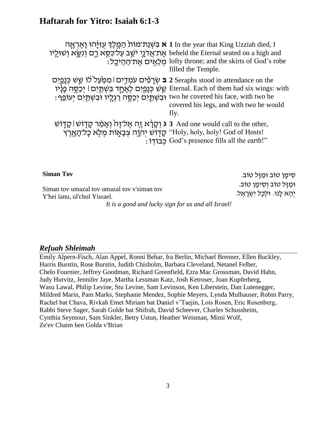# **Haftarah for Yitro: Isaiah 6:1-3**

**א** בִּשְׁנַת־מוֹת הַמֶּלֶךְ עֻזִּיְּהוּ נְאֶרְאֱה 1 In the year that King Uzziah died, I ֿ אֶת־אֲדֹנֶי יֹשֵׁב עַל־כִּסֵא רָם וְנִשָּׂא וְשׁוּלָיו t  $\,$  מְלֵאָים אֶת־הַהֵיכָל $\,$   $\,$ beheld the Eternal seated on a high and lofty throne; and the skirts of God's robe filled the Temple. ב שְׂרָפִ<sup>ָּ</sup>ים עֹמְדִים | מִכַּוֹעַל לֹוֹ שֵׁעִט כְּנָפֵיִם 2 Seraphs stood in attendance on the שֵׁשׁ כְּנָמַיִם לְאֶחֱד בִּשְׁתַּיִם | יְכַסֶּה פָנָיו Eternal. Each of them had six wings: with ּובִ שְ תַ ֹּ֛ יִם יְכַסֶׂ ֶׁ֥ ה רַ גְ לָּ ָ֖ יו ּובִ שְ תַ ֶׁ֥ יִם יְעֹופֵ ָֽ ף׃ two he covered his face, with two he covered his legs, and with two he would fly. ג וְקָרָ֫א זֶה אֶל־זֶה<sup>ּ</sup> וְאָמַׂר קָדְּוֹשׁ | קָדֶוֹשׁ And one would call to the other, ْקָדָוֹשׁ יְהְוָה צְּבָאֶוֹת מְלָא כְלֹיהָאֶרֶץ 'Holy, holy! God of Hosts! כְ בֹודָֽ ֹו׃ God's presence fills all the earth!"

**Siman Tov** 

Siman tov umazal tov umazal tov v'siman tov Y'hei lanu, ul'chol Yisrael*.*

*It is a good and lucky sign for us and all Israel!*

ּסִימַן טוֹב וּמַזֵּל טוֹב. ּומַ זָּ ל טֹוב וְ סִ ימָּ ן טֹוב. יְהֵא לָנוּ. וּלְכַל יִשְׂרָאֱל.

*Refuah Shleimah*

Emily Alpern-Fisch, Alan Appel, Ronni Behar, Ira Berlin, Michael Brenner, Ellen Buckley, Harris Burstin, Rose Burstin, Judith Chisholm, Barbara Cleveland, Netanel Felber, Chelo Fournier, Jeffrey Goodman, Richard Greenfield, Ezra Mac Grossman, David Hahn, Judy Hurvitz, Jennifer Jaye, Martha Lessman Katz, Josh Ketroser, Joan Kupferberg, Wasu Lawal, Philip Levine, Stu Levine, Sam Levinson, Ken Liberstein, Dan Lutenegger, Mildred Marin, Pam Marks, Stephanie Mendez, Sophie Meyers, Lynda Mulhauser, Robin Parry, Rachel bat Chava, Rivkah Emet Miriam bat Daniel v'Taejin, Lois Rosen, Eric Rosenberg, Rabbi Steve Sager, Sarah Golde bat Shifrah, David Scheever, Charles Schussheim, Cynthia Seymour, Sam Sinkler, Betty Ustun, Heather Weisman, Mimi Wolf, Ze'ev Chaim ben Golda v'Brian